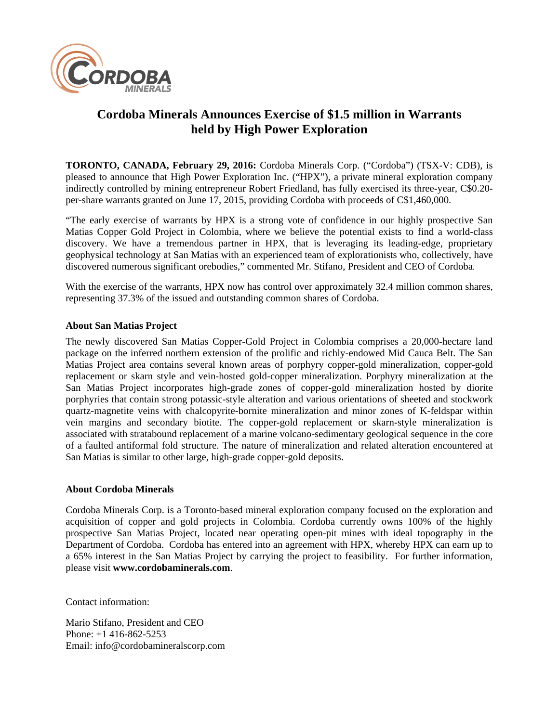

## **Cordoba Minerals Announces Exercise of \$1.5 million in Warrants held by High Power Exploration**

**TORONTO, CANADA, February 29, 2016:** Cordoba Minerals Corp. ("Cordoba") (TSX-V: CDB), is pleased to announce that High Power Exploration Inc. ("HPX"), a private mineral exploration company indirectly controlled by mining entrepreneur Robert Friedland, has fully exercised its three-year, C\$0.20per-share warrants granted on June 17, 2015, providing Cordoba with proceeds of C\$1,460,000.

"The early exercise of warrants by HPX is a strong vote of confidence in our highly prospective San Matias Copper Gold Project in Colombia, where we believe the potential exists to find a world-class discovery. We have a tremendous partner in HPX, that is leveraging its leading-edge, proprietary geophysical technology at San Matias with an experienced team of explorationists who, collectively, have discovered numerous significant orebodies," commented Mr. Stifano, President and CEO of Cordoba.

With the exercise of the warrants, HPX now has control over approximately 32.4 million common shares, representing 37.3% of the issued and outstanding common shares of Cordoba.

## **About San Matias Project**

The newly discovered San Matias Copper-Gold Project in Colombia comprises a 20,000-hectare land package on the inferred northern extension of the prolific and richly-endowed Mid Cauca Belt. The San Matias Project area contains several known areas of porphyry copper-gold mineralization, copper-gold replacement or skarn style and vein-hosted gold-copper mineralization. Porphyry mineralization at the San Matias Project incorporates high-grade zones of copper-gold mineralization hosted by diorite porphyries that contain strong potassic-style alteration and various orientations of sheeted and stockwork quartz-magnetite veins with chalcopyrite-bornite mineralization and minor zones of K-feldspar within vein margins and secondary biotite. The copper-gold replacement or skarn-style mineralization is associated with stratabound replacement of a marine volcano-sedimentary geological sequence in the core of a faulted antiformal fold structure. The nature of mineralization and related alteration encountered at San Matias is similar to other large, high-grade copper-gold deposits.

## **About Cordoba Minerals**

Cordoba Minerals Corp. is a Toronto-based mineral exploration company focused on the exploration and acquisition of copper and gold projects in Colombia. Cordoba currently owns 100% of the highly prospective San Matias Project, located near operating open-pit mines with ideal topography in the Department of Cordoba. Cordoba has entered into an agreement with HPX, whereby HPX can earn up to a 65% interest in the San Matias Project by carrying the project to feasibility. For further information, please visit **www.cordobaminerals.com**.

Contact information:

Mario Stifano, President and CEO Phone: +1 416-862-5253 Email: info@cordobamineralscorp.com